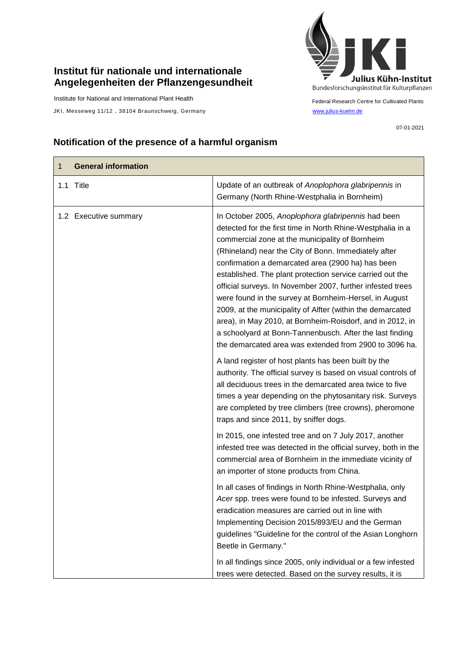## **Institut für nationale und internationale Angelegenheiten der Pflanzengesundheit**

Institute for National and International Plant Health

JKI, Messeweg 11/12, 38104 Braunschweig, Germany [www.julius-kuehn.de](http://www.julius-kuehn.de/)



Federal Research Centre for Cultivated Plants

07-01-2021

## **Notification of the presence of a harmful organism**

| 1 | <b>General information</b> |                                                                                                                                                                                                                                                                                                                                                                                                                                                                                                                                                                                                                                                                                                                        |
|---|----------------------------|------------------------------------------------------------------------------------------------------------------------------------------------------------------------------------------------------------------------------------------------------------------------------------------------------------------------------------------------------------------------------------------------------------------------------------------------------------------------------------------------------------------------------------------------------------------------------------------------------------------------------------------------------------------------------------------------------------------------|
|   | 1.1 Title                  | Update of an outbreak of Anoplophora glabripennis in<br>Germany (North Rhine-Westphalia in Bornheim)                                                                                                                                                                                                                                                                                                                                                                                                                                                                                                                                                                                                                   |
|   | 1.2 Executive summary      | In October 2005, Anoplophora glabripennis had been<br>detected for the first time in North Rhine-Westphalia in a<br>commercial zone at the municipality of Bornheim<br>(Rhineland) near the City of Bonn. Immediately after<br>confirmation a demarcated area (2900 ha) has been<br>established. The plant protection service carried out the<br>official surveys. In November 2007, further infested trees<br>were found in the survey at Bornheim-Hersel, in August<br>2009, at the municipality of Alfter (within the demarcated<br>area), in May 2010, at Bornheim-Roisdorf, and in 2012, in<br>a schoolyard at Bonn-Tannenbusch. After the last finding<br>the demarcated area was extended from 2900 to 3096 ha. |
|   |                            | A land register of host plants has been built by the<br>authority. The official survey is based on visual controls of<br>all deciduous trees in the demarcated area twice to five<br>times a year depending on the phytosanitary risk. Surveys<br>are completed by tree climbers (tree crowns), pheromone<br>traps and since 2011, by sniffer dogs.                                                                                                                                                                                                                                                                                                                                                                    |
|   |                            | In 2015, one infested tree and on 7 July 2017, another<br>infested tree was detected in the official survey, both in the<br>commercial area of Bornheim in the immediate vicinity of<br>an importer of stone products from China.                                                                                                                                                                                                                                                                                                                                                                                                                                                                                      |
|   |                            | In all cases of findings in North Rhine-Westphalia, only<br>Acer spp. trees were found to be infested. Surveys and<br>eradication measures are carried out in line with<br>Implementing Decision 2015/893/EU and the German<br>guidelines "Guideline for the control of the Asian Longhorn<br>Beetle in Germany."                                                                                                                                                                                                                                                                                                                                                                                                      |
|   |                            | In all findings since 2005, only individual or a few infested<br>trees were detected. Based on the survey results, it is                                                                                                                                                                                                                                                                                                                                                                                                                                                                                                                                                                                               |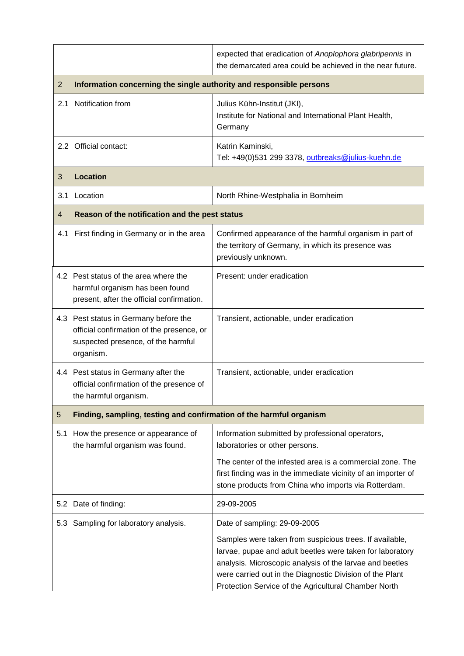|     |                                                                                                                                       | expected that eradication of Anoplophora glabripennis in<br>the demarcated area could be achieved in the near future.                                                                                                                                                                                |  |
|-----|---------------------------------------------------------------------------------------------------------------------------------------|------------------------------------------------------------------------------------------------------------------------------------------------------------------------------------------------------------------------------------------------------------------------------------------------------|--|
| 2   | Information concerning the single authority and responsible persons                                                                   |                                                                                                                                                                                                                                                                                                      |  |
| 2.1 | Notification from                                                                                                                     | Julius Kühn-Institut (JKI),<br>Institute for National and International Plant Health,<br>Germany                                                                                                                                                                                                     |  |
|     | 2.2 Official contact:                                                                                                                 | Katrin Kaminski,<br>Tel: +49(0)531 299 3378, outbreaks@julius-kuehn.de                                                                                                                                                                                                                               |  |
| 3   | <b>Location</b>                                                                                                                       |                                                                                                                                                                                                                                                                                                      |  |
|     | 3.1 Location                                                                                                                          | North Rhine-Westphalia in Bornheim                                                                                                                                                                                                                                                                   |  |
| 4   | Reason of the notification and the pest status                                                                                        |                                                                                                                                                                                                                                                                                                      |  |
| 4.1 | First finding in Germany or in the area                                                                                               | Confirmed appearance of the harmful organism in part of<br>the territory of Germany, in which its presence was<br>previously unknown.                                                                                                                                                                |  |
|     | 4.2 Pest status of the area where the<br>harmful organism has been found<br>present, after the official confirmation.                 | Present: under eradication                                                                                                                                                                                                                                                                           |  |
|     | 4.3 Pest status in Germany before the<br>official confirmation of the presence, or<br>suspected presence, of the harmful<br>organism. | Transient, actionable, under eradication                                                                                                                                                                                                                                                             |  |
|     | 4.4 Pest status in Germany after the<br>official confirmation of the presence of<br>the harmful organism.                             | Transient, actionable, under eradication                                                                                                                                                                                                                                                             |  |
| 5   | Finding, sampling, testing and confirmation of the harmful organism                                                                   |                                                                                                                                                                                                                                                                                                      |  |
| 5.1 | How the presence or appearance of<br>the harmful organism was found.                                                                  | Information submitted by professional operators,<br>laboratories or other persons.                                                                                                                                                                                                                   |  |
|     |                                                                                                                                       | The center of the infested area is a commercial zone. The<br>first finding was in the immediate vicinity of an importer of<br>stone products from China who imports via Rotterdam.                                                                                                                   |  |
|     | 5.2 Date of finding:                                                                                                                  | 29-09-2005                                                                                                                                                                                                                                                                                           |  |
|     | 5.3 Sampling for laboratory analysis.                                                                                                 | Date of sampling: 29-09-2005                                                                                                                                                                                                                                                                         |  |
|     |                                                                                                                                       | Samples were taken from suspicious trees. If available,<br>larvae, pupae and adult beetles were taken for laboratory<br>analysis. Microscopic analysis of the larvae and beetles<br>were carried out in the Diagnostic Division of the Plant<br>Protection Service of the Agricultural Chamber North |  |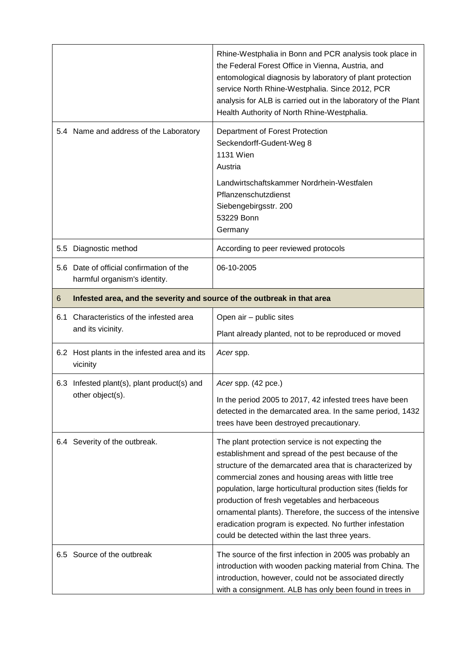|     |                                                                          | Rhine-Westphalia in Bonn and PCR analysis took place in<br>the Federal Forest Office in Vienna, Austria, and<br>entomological diagnosis by laboratory of plant protection<br>service North Rhine-Westphalia. Since 2012, PCR<br>analysis for ALB is carried out in the laboratory of the Plant<br>Health Authority of North Rhine-Westphalia.                                                                                                                                                                             |
|-----|--------------------------------------------------------------------------|---------------------------------------------------------------------------------------------------------------------------------------------------------------------------------------------------------------------------------------------------------------------------------------------------------------------------------------------------------------------------------------------------------------------------------------------------------------------------------------------------------------------------|
|     | 5.4 Name and address of the Laboratory                                   | Department of Forest Protection<br>Seckendorff-Gudent-Weg 8<br><b>1131 Wien</b><br>Austria                                                                                                                                                                                                                                                                                                                                                                                                                                |
|     |                                                                          | Landwirtschaftskammer Nordrhein-Westfalen<br>Pflanzenschutzdienst<br>Siebengebirgsstr. 200<br>53229 Bonn<br>Germany                                                                                                                                                                                                                                                                                                                                                                                                       |
| 5.5 | Diagnostic method                                                        | According to peer reviewed protocols                                                                                                                                                                                                                                                                                                                                                                                                                                                                                      |
|     | 5.6 Date of official confirmation of the<br>harmful organism's identity. | 06-10-2005                                                                                                                                                                                                                                                                                                                                                                                                                                                                                                                |
| 6   | Infested area, and the severity and source of the outbreak in that area  |                                                                                                                                                                                                                                                                                                                                                                                                                                                                                                                           |
| 6.1 | Characteristics of the infested area<br>and its vicinity.                | Open air - public sites                                                                                                                                                                                                                                                                                                                                                                                                                                                                                                   |
|     |                                                                          | Plant already planted, not to be reproduced or moved                                                                                                                                                                                                                                                                                                                                                                                                                                                                      |
|     | 6.2 Host plants in the infested area and its<br>vicinity                 | Acer spp.                                                                                                                                                                                                                                                                                                                                                                                                                                                                                                                 |
|     | 6.3 Infested plant(s), plant product(s) and<br>other object(s).          | Acer spp. (42 pce.)                                                                                                                                                                                                                                                                                                                                                                                                                                                                                                       |
|     |                                                                          | In the period 2005 to 2017, 42 infested trees have been<br>detected in the demarcated area. In the same period, 1432<br>trees have been destroyed precautionary.                                                                                                                                                                                                                                                                                                                                                          |
|     | 6.4 Severity of the outbreak.                                            | The plant protection service is not expecting the<br>establishment and spread of the pest because of the<br>structure of the demarcated area that is characterized by<br>commercial zones and housing areas with little tree<br>population, large horticultural production sites (fields for<br>production of fresh vegetables and herbaceous<br>ornamental plants). Therefore, the success of the intensive<br>eradication program is expected. No further infestation<br>could be detected within the last three years. |
| 6.5 | Source of the outbreak                                                   | The source of the first infection in 2005 was probably an<br>introduction with wooden packing material from China. The<br>introduction, however, could not be associated directly<br>with a consignment. ALB has only been found in trees in                                                                                                                                                                                                                                                                              |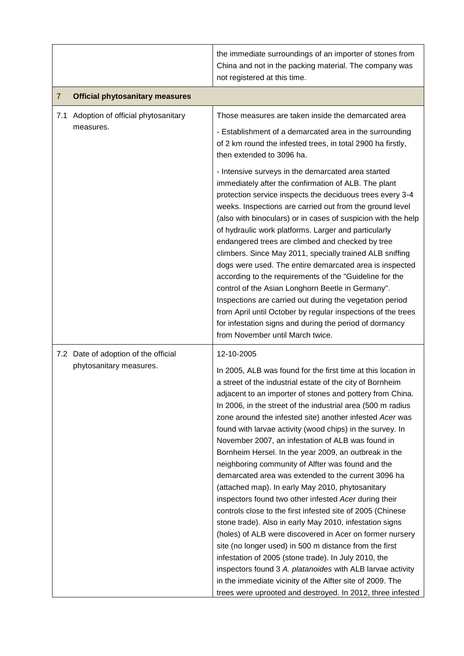|     |                                                                 | the immediate surroundings of an importer of stones from<br>China and not in the packing material. The company was<br>not registered at this time.                                                                                                                                                                                                                                                                                                                                                                                                                                                                                                                                                                                                                                                                                                                                                                                                                                                                                                                                                                                                                                                                                   |
|-----|-----------------------------------------------------------------|--------------------------------------------------------------------------------------------------------------------------------------------------------------------------------------------------------------------------------------------------------------------------------------------------------------------------------------------------------------------------------------------------------------------------------------------------------------------------------------------------------------------------------------------------------------------------------------------------------------------------------------------------------------------------------------------------------------------------------------------------------------------------------------------------------------------------------------------------------------------------------------------------------------------------------------------------------------------------------------------------------------------------------------------------------------------------------------------------------------------------------------------------------------------------------------------------------------------------------------|
| 7   | <b>Official phytosanitary measures</b>                          |                                                                                                                                                                                                                                                                                                                                                                                                                                                                                                                                                                                                                                                                                                                                                                                                                                                                                                                                                                                                                                                                                                                                                                                                                                      |
| 7.1 | Adoption of official phytosanitary<br>measures.                 | Those measures are taken inside the demarcated area<br>- Establishment of a demarcated area in the surrounding<br>of 2 km round the infested trees, in total 2900 ha firstly,<br>then extended to 3096 ha.                                                                                                                                                                                                                                                                                                                                                                                                                                                                                                                                                                                                                                                                                                                                                                                                                                                                                                                                                                                                                           |
|     |                                                                 | - Intensive surveys in the demarcated area started<br>immediately after the confirmation of ALB. The plant<br>protection service inspects the deciduous trees every 3-4<br>weeks. Inspections are carried out from the ground level<br>(also with binoculars) or in cases of suspicion with the help<br>of hydraulic work platforms. Larger and particularly<br>endangered trees are climbed and checked by tree<br>climbers. Since May 2011, specially trained ALB sniffing<br>dogs were used. The entire demarcated area is inspected<br>according to the requirements of the "Guideline for the<br>control of the Asian Longhorn Beetle in Germany".<br>Inspections are carried out during the vegetation period<br>from April until October by regular inspections of the trees<br>for infestation signs and during the period of dormancy<br>from November until March twice.                                                                                                                                                                                                                                                                                                                                                   |
|     | 7.2 Date of adoption of the official<br>phytosanitary measures. | 12-10-2005<br>In 2005, ALB was found for the first time at this location in<br>a street of the industrial estate of the city of Bornheim<br>adjacent to an importer of stones and pottery from China.<br>In 2006, in the street of the industrial area (500 m radius<br>zone around the infested site) another infested Acer was<br>found with larvae activity (wood chips) in the survey. In<br>November 2007, an infestation of ALB was found in<br>Bornheim Hersel. In the year 2009, an outbreak in the<br>neighboring community of Alfter was found and the<br>demarcated area was extended to the current 3096 ha<br>(attached map). In early May 2010, phytosanitary<br>inspectors found two other infested Acer during their<br>controls close to the first infested site of 2005 (Chinese<br>stone trade). Also in early May 2010, infestation signs<br>(holes) of ALB were discovered in Acer on former nursery<br>site (no longer used) in 500 m distance from the first<br>infestation of 2005 (stone trade). In July 2010, the<br>inspectors found 3 A. platanoides with ALB larvae activity<br>in the immediate vicinity of the Alfter site of 2009. The<br>trees were uprooted and destroyed. In 2012, three infested |